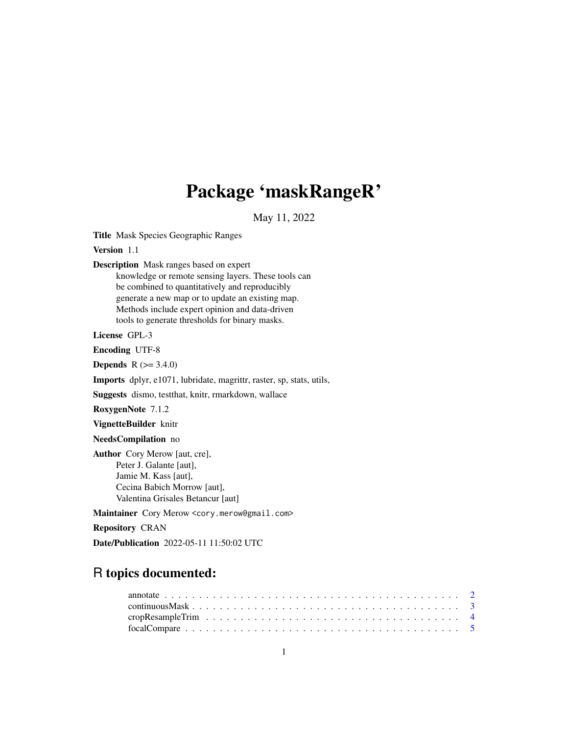## Package 'maskRangeR'

May 11, 2022

Title Mask Species Geographic Ranges

Version 1.1

Description Mask ranges based on expert

knowledge or remote sensing layers. These tools can be combined to quantitatively and reproducibly generate a new map or to update an existing map. Methods include expert opinion and data-driven tools to generate thresholds for binary masks.

License GPL-3

Encoding UTF-8

**Depends**  $R (= 3.4.0)$ 

Imports dplyr, e1071, lubridate, magrittr, raster, sp, stats, utils,

Suggests dismo, testthat, knitr, rmarkdown, wallace

RoxygenNote 7.1.2

VignetteBuilder knitr

NeedsCompilation no

Author Cory Merow [aut, cre], Peter J. Galante [aut], Jamie M. Kass [aut], Cecina Babich Morrow [aut], Valentina Grisales Betancur [aut]

Maintainer Cory Merow <cory.merow@gmail.com>

Repository CRAN

Date/Publication 2022-05-11 11:50:02 UTC

### R topics documented: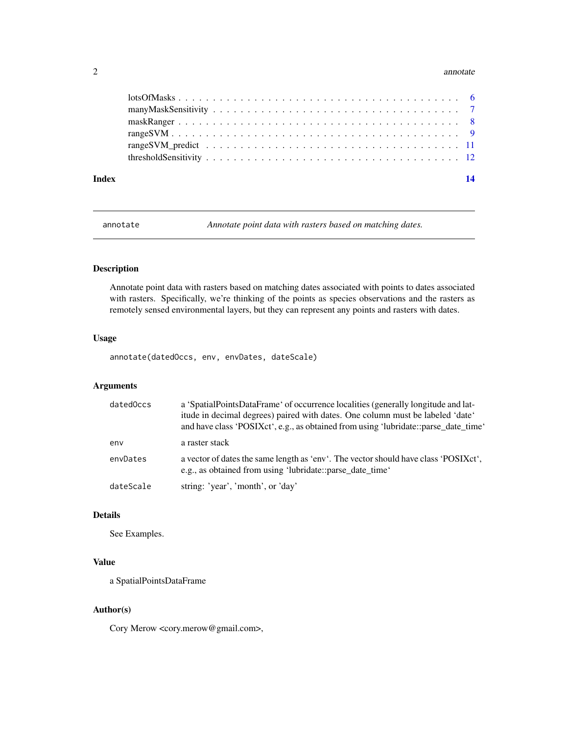#### <span id="page-1-0"></span>2 annotate annotate annotate annotate annotate annotate annotate annotate annotate annotate annotate annotate annotate annotate annotate annotate annotate annotate annotate annotate annotate annotate annotate annotate anno

| Index | $\overline{14}$ |
|-------|-----------------|
|       |                 |
|       |                 |
|       |                 |
|       |                 |
|       |                 |
|       |                 |

annotate *Annotate point data with rasters based on matching dates.*

#### Description

Annotate point data with rasters based on matching dates associated with points to dates associated with rasters. Specifically, we're thinking of the points as species observations and the rasters as remotely sensed environmental layers, but they can represent any points and rasters with dates.

#### Usage

annotate(datedOccs, env, envDates, dateScale)

#### Arguments

| datedOccs | a 'SpatialPointsDataFrame' of occurrence localities (generally longitude and lat-<br>itude in decimal degrees) paired with dates. One column must be labeled 'date'<br>and have class 'POSIXct', e.g., as obtained from using 'lubridate::parse_date_time' |
|-----------|------------------------------------------------------------------------------------------------------------------------------------------------------------------------------------------------------------------------------------------------------------|
| env       | a raster stack                                                                                                                                                                                                                                             |
| envDates  | a vector of dates the same length as 'env'. The vector should have class 'POSIXct',<br>e.g., as obtained from using 'lubridate::parse_date_time'                                                                                                           |
| dateScale | string: 'year', 'month', or 'day'                                                                                                                                                                                                                          |

#### Details

See Examples.

#### Value

a SpatialPointsDataFrame

#### Author(s)

Cory Merow <cory.merow@gmail.com>,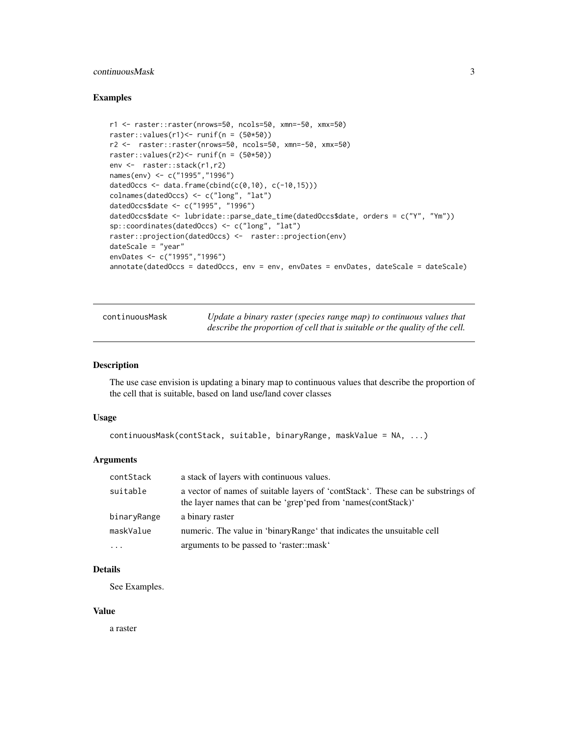#### <span id="page-2-0"></span>continuousMask 3

#### Examples

```
r1 <- raster::raster(nrows=50, ncols=50, xmn=-50, xmx=50)
raster::values(r1) <- runif(n = (50*50))
r2 <- raster::raster(nrows=50, ncols=50, xmn=-50, xmx=50)
raster::values(r2) <- runif(n = (50*50))
env <- raster::stack(r1,r2)
names(env) <- c("1995","1996")
datedOccs \leq data.frame(cbind(c(0,10), c(-10,15)))
colnames(datedOccs) <- c("long", "lat")
datedOccs$date <- c("1995", "1996")
datedOccs$date <- lubridate::parse_date_time(datedOccs$date, orders = c("Y", "Ym"))
sp::coordinates(datedOccs) <- c("long", "lat")
raster::projection(datedOccs) <- raster::projection(env)
dateScale = "year"
envDates <- c("1995","1996")
annotate(dataOccs = datedOccs, env = env, envDates = envDates, dateScale = dateScale)
```

| continuousMask | Update a binary raster (species range map) to continuous values that         |
|----------------|------------------------------------------------------------------------------|
|                | describe the proportion of cell that is suitable or the quality of the cell. |

#### Description

The use case envision is updating a binary map to continuous values that describe the proportion of the cell that is suitable, based on land use/land cover classes

#### Usage

```
continuousMask(contStack, suitable, binaryRange, maskValue = NA, ...)
```
#### Arguments

| contStack   | a stack of layers with continuous values.                                                                                                        |
|-------------|--------------------------------------------------------------------------------------------------------------------------------------------------|
| suitable    | a vector of names of suitable layers of 'contStack'. These can be substrings of<br>the layer names that can be 'grep'ped from 'names(contStack)' |
| binaryRange | a binary raster                                                                                                                                  |
| maskValue   | numeric. The value in 'binaryRange' that indicates the unsuitable cell                                                                           |
| $\ddotsc$   | arguments to be passed to 'raster::mask'                                                                                                         |

#### **Details**

See Examples.

#### Value

a raster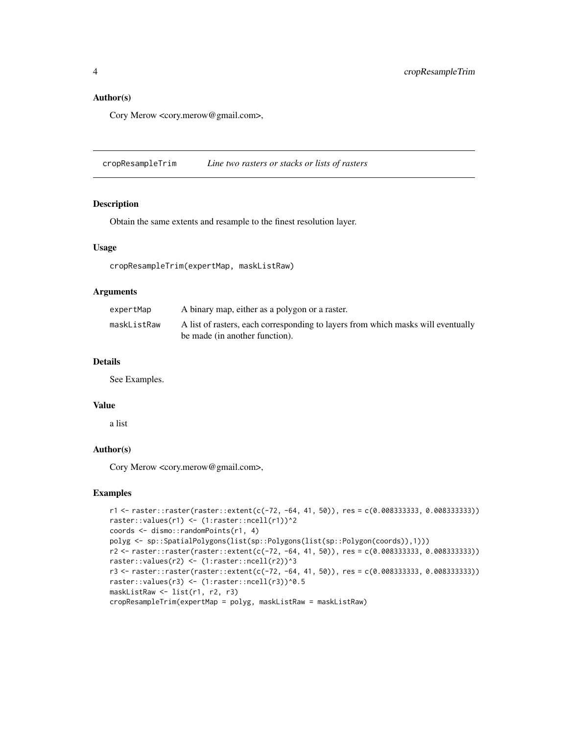#### <span id="page-3-0"></span>Author(s)

Cory Merow <cory.merow@gmail.com>,

cropResampleTrim *Line two rasters or stacks or lists of rasters*

#### Description

Obtain the same extents and resample to the finest resolution layer.

#### Usage

cropResampleTrim(expertMap, maskListRaw)

#### Arguments

| A binary map, either as a polygon or a raster.                                                                     |
|--------------------------------------------------------------------------------------------------------------------|
| A list of rasters, each corresponding to layers from which masks will eventually<br>be made (in another function). |
|                                                                                                                    |

#### Details

See Examples.

#### Value

a list

#### Author(s)

Cory Merow <cory.merow@gmail.com>,

```
r1 <- raster::raster(raster::extent(c(-72, -64, 41, 50)), res = c(0.008333333, 0.008333333))
raster::values(r1) <- (1:raster::ncell(r1))^2
coords <- dismo::randomPoints(r1, 4)
polyg <- sp::SpatialPolygons(list(sp::Polygons(list(sp::Polygon(coords)),1)))
r2 <- raster::raster(raster::extent(c(-72, -64, 41, 50)), res = c(0.008333333, 0.008333333))
raster::values(r2) <- (1:raster::ncell(r2))^3
r3 <- raster::raster(raster::extent(c(-72, -64, 41, 50)), res = c(0.008333333, 0.008333333))
raster::values(r3) <- (1:raster::ncell(r3))^0.5
maskListRaw <- list(r1, r2, r3)
cropResampleTrim(expertMap = polyg, maskListRaw = maskListRaw)
```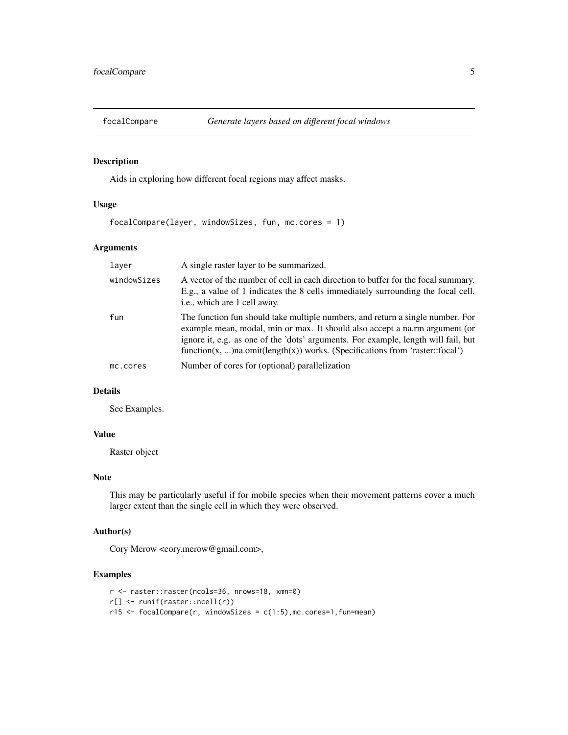<span id="page-4-0"></span>

Aids in exploring how different focal regions may affect masks.

#### Usage

```
focalCompare(layer, windowSizes, fun, mc.cores = 1)
```
#### Arguments

| layer       | A single raster layer to be summarized.                                                                                                                                                                                                                                                                                             |
|-------------|-------------------------------------------------------------------------------------------------------------------------------------------------------------------------------------------------------------------------------------------------------------------------------------------------------------------------------------|
| windowSizes | A vector of the number of cell in each direction to buffer for the focal summary.<br>E.g., a value of 1 indicates the 8 cells immediately surrounding the focal cell,<br>i.e., which are 1 cell away.                                                                                                                               |
| fun         | The function fun should take multiple numbers, and return a single number. For<br>example mean, modal, min or max. It should also accept a na.rm argument (or<br>ignore it, e.g. as one of the 'dots' arguments. For example, length will fail, but<br>function(x, )na.omit(length(x)) works. (Specifications from 'raster::focal') |
| mc.cores    | Number of cores for (optional) parallelization                                                                                                                                                                                                                                                                                      |

#### Details

See Examples.

#### Value

Raster object

#### Note

This may be particularly useful if for mobile species when their movement patterns cover a much larger extent than the single cell in which they were observed.

#### Author(s)

Cory Merow <cory.merow@gmail.com>,

```
r <- raster::raster(ncols=36, nrows=18, xmn=0)
r[] <- runif(raster::ncell(r))
r15 <- focalCompare(r, windowSizes = c(1:5),mc.cores=1,fun=mean)
```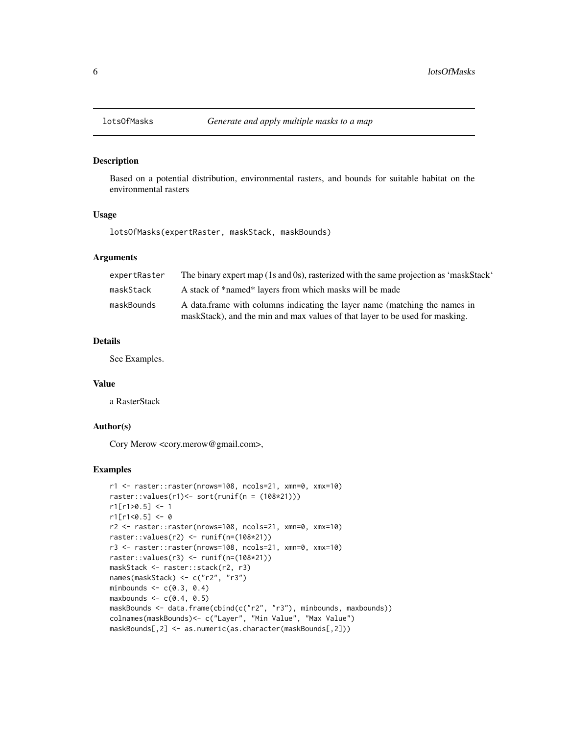<span id="page-5-0"></span>

Based on a potential distribution, environmental rasters, and bounds for suitable habitat on the environmental rasters

#### Usage

lotsOfMasks(expertRaster, maskStack, maskBounds)

#### Arguments

| expertRaster | The binary expert map (1s and 0s), rasterized with the same projection as 'maskStack'                                                                      |
|--------------|------------------------------------------------------------------------------------------------------------------------------------------------------------|
| maskStack    | A stack of *named* layers from which masks will be made                                                                                                    |
| maskBounds   | A data frame with columns indicating the layer name (matching the names in<br>maskStack), and the min and max values of that layer to be used for masking. |

#### Details

See Examples.

#### Value

a RasterStack

#### Author(s)

Cory Merow <cory.merow@gmail.com>,

```
r1 <- raster::raster(nrows=108, ncols=21, xmn=0, xmx=10)
raster::values(r1) <- sort(runif(n = (108*21)))
r1[r1>0.5] < -1r1[r1<0.5] < -0r2 <- raster::raster(nrows=108, ncols=21, xmn=0, xmx=10)
raster::values(r2) <- runif(n=(108*21))
r3 <- raster::raster(nrows=108, ncols=21, xmn=0, xmx=10)
raster::values(r3) <- runif(n=(108*21))
maskStack <- raster::stack(r2, r3)
names(maskStack) <- c("r2", "r3")
minbounds \leq c(0.3, 0.4)maxbounds <-c(0.4, 0.5)maskBounds <- data.frame(cbind(c("r2", "r3"), minbounds, maxbounds))
colnames(maskBounds)<- c("Layer", "Min Value", "Max Value")
maskBounds[,2] <- as.numeric(as.character(maskBounds[,2]))
```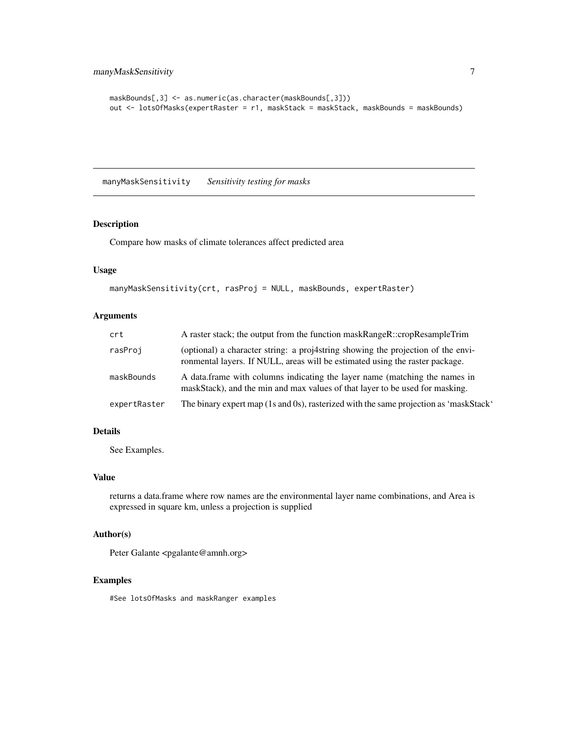```
maskBounds[,3] <- as.numeric(as.character(maskBounds[,3]))
out <- lotsOfMasks(expertRaster = r1, maskStack = maskStack, maskBounds = maskBounds)
```
manyMaskSensitivity *Sensitivity testing for masks*

#### Description

Compare how masks of climate tolerances affect predicted area

#### Usage

```
manyMaskSensitivity(crt, rasProj = NULL, maskBounds, expertRaster)
```
#### Arguments

| crt          | A raster stack; the output from the function maskRangeR::cropResampleTrim                                                                                        |
|--------------|------------------------------------------------------------------------------------------------------------------------------------------------------------------|
| rasProj      | (optional) a character string: a proj4string showing the projection of the envi-<br>ronmental layers. If NULL, areas will be estimated using the raster package. |
| maskBounds   | A data frame with columns indicating the layer name (matching the names in<br>maskStack), and the min and max values of that layer to be used for masking.       |
| expertRaster | The binary expert map (1s and 0s), rasterized with the same projection as 'maskStack'                                                                            |

#### Details

See Examples.

#### Value

returns a data.frame where row names are the environmental layer name combinations, and Area is expressed in square km, unless a projection is supplied

#### Author(s)

Peter Galante <pgalante@amnh.org>

#### Examples

#See lotsOfMasks and maskRanger examples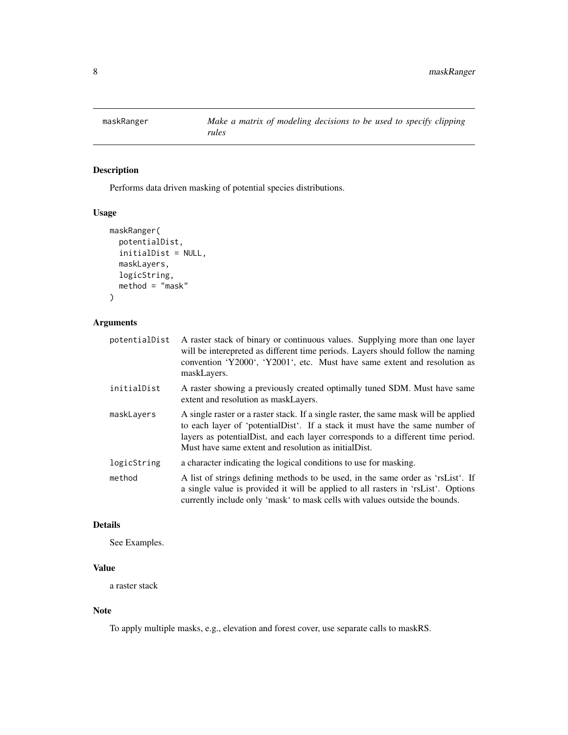<span id="page-7-0"></span>

Performs data driven masking of potential species distributions.

#### Usage

```
maskRanger(
  potentialDist,
  initialDist = NULL,
  maskLayers,
  logicString,
  method = "mask"\mathcal{L}
```
#### Arguments

| potentialDist | A raster stack of binary or continuous values. Supplying more than one layer<br>will be interepreted as different time periods. Layers should follow the naming<br>convention 'Y2000', 'Y2001', etc. Must have same extent and resolution as<br>maskLayers.                                                       |
|---------------|-------------------------------------------------------------------------------------------------------------------------------------------------------------------------------------------------------------------------------------------------------------------------------------------------------------------|
| initialDist   | A raster showing a previously created optimally tuned SDM. Must have same<br>extent and resolution as maskLayers.                                                                                                                                                                                                 |
| maskLayers    | A single raster or a raster stack. If a single raster, the same mask will be applied<br>to each layer of 'potentialDist'. If a stack it must have the same number of<br>layers as potential Dist, and each layer corresponds to a different time period.<br>Must have same extent and resolution as initial Dist. |
| logicString   | a character indicating the logical conditions to use for masking.                                                                                                                                                                                                                                                 |
| method        | A list of strings defining methods to be used, in the same order as 'rsList'. If<br>a single value is provided it will be applied to all rasters in 'rsList'. Options<br>currently include only 'mask' to mask cells with values outside the bounds.                                                              |

#### Details

See Examples.

#### Value

a raster stack

#### Note

To apply multiple masks, e.g., elevation and forest cover, use separate calls to maskRS.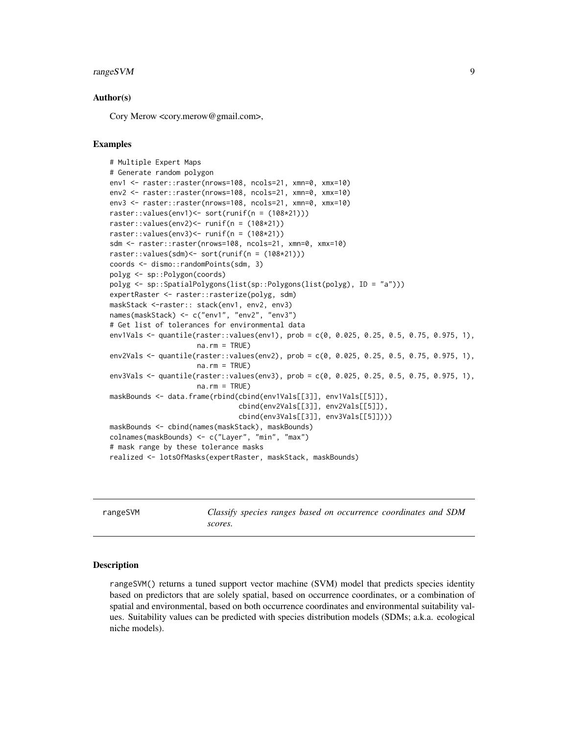#### <span id="page-8-0"></span>rangeSVM 9

#### Author(s)

Cory Merow <cory.merow@gmail.com>,

#### Examples

```
# Multiple Expert Maps
# Generate random polygon
env1 <- raster::raster(nrows=108, ncols=21, xmn=0, xmx=10)
env2 <- raster::raster(nrows=108, ncols=21, xmn=0, xmx=10)
env3 <- raster::raster(nrows=108, ncols=21, xmn=0, xmx=10)
raster::values(env1)<- sort(runif(n = (108*21)))
raster::values(env2)<- runif(n = (108*21))
raster::values(env3) <- runif(n = (108*21))
sdm <- raster::raster(nrows=108, ncols=21, xmn=0, xmx=10)
raster::values(sdm)<- sort(runif(n = (108*21)))
coords <- dismo::randomPoints(sdm, 3)
polyg <- sp::Polygon(coords)
polyg <- sp::SpatialPolygons(list(sp::Polygons(list(polyg), ID = "a")))
expertRaster <- raster::rasterize(polyg, sdm)
maskStack <-raster:: stack(env1, env2, env3)
names(maskStack) <- c("env1", "env2", "env3")
# Get list of tolerances for environmental data
env1Vals <- quantile(raster::values(env1), prob = c(0, 0.025, 0.25, 0.5, 0.75, 0.975, 1),
                     na.rm = TRUE)
env2Vals <- quantile(raster::values(env2), prob = c(0, 0.025, 0.25, 0.5, 0.75, 0.975, 1),
                     na.rm = TRUE)
env3Vals <- quantile(raster::values(env3), prob = c(0, 0.025, 0.25, 0.5, 0.75, 0.975, 1),
                     na.rm = TRUE)
maskBounds <- data.frame(rbind(cbind(env1Vals[[3]], env1Vals[[5]]),
                               cbind(env2Vals[[3]], env2Vals[[5]]),
                               cbind(env3Vals[[3]], env3Vals[[5]])))
maskBounds <- cbind(names(maskStack), maskBounds)
colnames(maskBounds) <- c("Layer", "min", "max")
# mask range by these tolerance masks
realized <- lotsOfMasks(expertRaster, maskStack, maskBounds)
```
rangeSVM *Classify species ranges based on occurrence coordinates and SDM scores.*

#### Description

rangeSVM() returns a tuned support vector machine (SVM) model that predicts species identity based on predictors that are solely spatial, based on occurrence coordinates, or a combination of spatial and environmental, based on both occurrence coordinates and environmental suitability values. Suitability values can be predicted with species distribution models (SDMs; a.k.a. ecological niche models).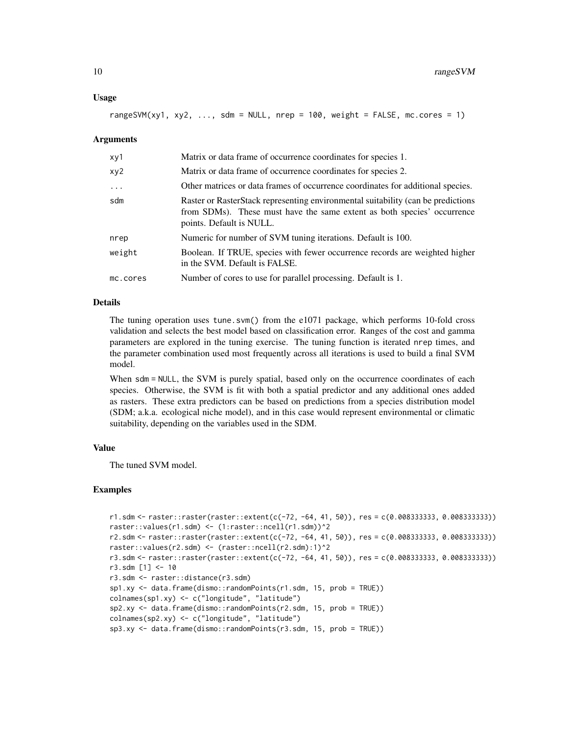#### Usage

rangeSVM(xy1, xy2,  $\dots$ , sdm = NULL, nrep = 100, weight = FALSE, mc.cores = 1)

#### Arguments

| xy1      | Matrix or data frame of occurrence coordinates for species 1.                                                                                                                            |
|----------|------------------------------------------------------------------------------------------------------------------------------------------------------------------------------------------|
| xy2      | Matrix or data frame of occurrence coordinates for species 2.                                                                                                                            |
| $\ddots$ | Other matrices or data frames of occurrence coordinates for additional species.                                                                                                          |
| sdm      | Raster or RasterStack representing environmental suitability (can be predictions)<br>from SDMs). These must have the same extent as both species' occurrence<br>points. Default is NULL. |
| nrep     | Numeric for number of SVM tuning iterations. Default is 100.                                                                                                                             |
| weight   | Boolean. If TRUE, species with fewer occurrence records are weighted higher<br>in the SVM. Default is FALSE.                                                                             |
| mc.cores | Number of cores to use for parallel processing. Default is 1.                                                                                                                            |
|          |                                                                                                                                                                                          |

#### Details

The tuning operation uses tune.svm() from the e1071 package, which performs 10-fold cross validation and selects the best model based on classification error. Ranges of the cost and gamma parameters are explored in the tuning exercise. The tuning function is iterated nrep times, and the parameter combination used most frequently across all iterations is used to build a final SVM model.

When sdm = NULL, the SVM is purely spatial, based only on the occurrence coordinates of each species. Otherwise, the SVM is fit with both a spatial predictor and any additional ones added as rasters. These extra predictors can be based on predictions from a species distribution model (SDM; a.k.a. ecological niche model), and in this case would represent environmental or climatic suitability, depending on the variables used in the SDM.

#### Value

The tuned SVM model.

```
r1.sdm \leq raster::raster(raster::extent(c(-72, -64, 41, 50)), res = c(0.008333333, 0.00833333))raster::values(r1.sdm) <- (1:raster::ncell(r1.sdm))^2
r2.sdm <- raster::raster(raster::extent(c(-72, -64, 41, 50)), res = c(0.008333333, 0.008333333))
raster::values(r2.sdm) <- (raster::ncell(r2.sdm):1)^2
r3.sdm <- raster::raster(raster::extent(c(-72, -64, 41, 50)), res = c(0.008333333, 0.008333333))
r3.sdm [1] <- 10
r3.sdm <- raster::distance(r3.sdm)
sp1.xy <- data.frame(dismo::randomPoints(r1.sdm, 15, prob = TRUE))
colnames(sp1.xy) <- c("longitude", "latitude")
sp2.xy <- data.frame(dismo::randomPoints(r2.sdm, 15, prob = TRUE))
colnames(sp2.xy) <- c("longitude", "latitude")
sp3.xy <- data.frame(dismo::randomPoints(r3.sdm, 15, prob = TRUE))
```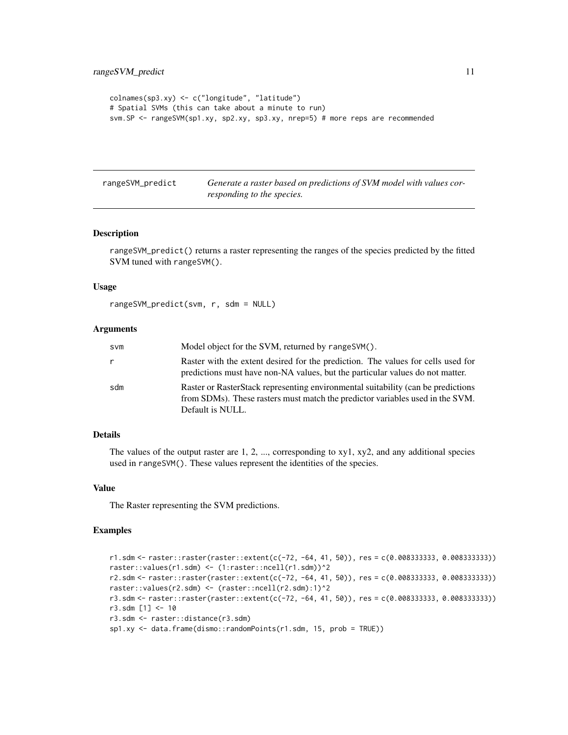```
colnames(sp3.xy) <- c("longitude", "latitude")
# Spatial SVMs (this can take about a minute to run)
svm.SP <- rangeSVM(sp1.xy, sp2.xy, sp3.xy, nrep=5) # more reps are recommended
```

| rangeSVM_predict | Generate a raster based on predictions of SVM model with values cor- |
|------------------|----------------------------------------------------------------------|
|                  | responding to the species.                                           |

rangeSVM\_predict() returns a raster representing the ranges of the species predicted by the fitted SVM tuned with rangeSVM().

#### Usage

```
rangeSVM_predict(svm, r, sdm = NULL)
```
#### Arguments

| svm | Model object for the SVM, returned by rangeSVM().                                                                                                                                     |
|-----|---------------------------------------------------------------------------------------------------------------------------------------------------------------------------------------|
| r   | Raster with the extent desired for the prediction. The values for cells used for<br>predictions must have non-NA values, but the particular values do not matter.                     |
| sdm | Raster or RasterStack representing environmental suitability (can be predictions<br>from SDMs). These rasters must match the predictor variables used in the SVM.<br>Default is NULL. |

#### Details

The values of the output raster are 1, 2, ..., corresponding to xy1, xy2, and any additional species used in rangeSVM(). These values represent the identities of the species.

#### Value

The Raster representing the SVM predictions.

```
r1.sdm <- raster::raster(raster::extent(c(-72, -64, 41, 50)), res = c(0.008333333, 0.008333333))
raster::values(r1.sdm) <- (1:raster::ncell(r1.sdm))^2
r2.sdm <- raster::raster(raster::extent(c(-72, -64, 41, 50)), res = c(0.008333333, 0.008333333))
raster::values(r2.sdm) <- (raster::ncell(r2.sdm):1)^2
r3.sdm <- raster::raster(raster::extent(c(-72, -64, 41, 50)), res = c(0.008333333, 0.008333333))
r3.sdm [1] <- 10
r3.sdm <- raster::distance(r3.sdm)
sp1.xy <- data.frame(dismo::randomPoints(r1.sdm, 15, prob = TRUE))
```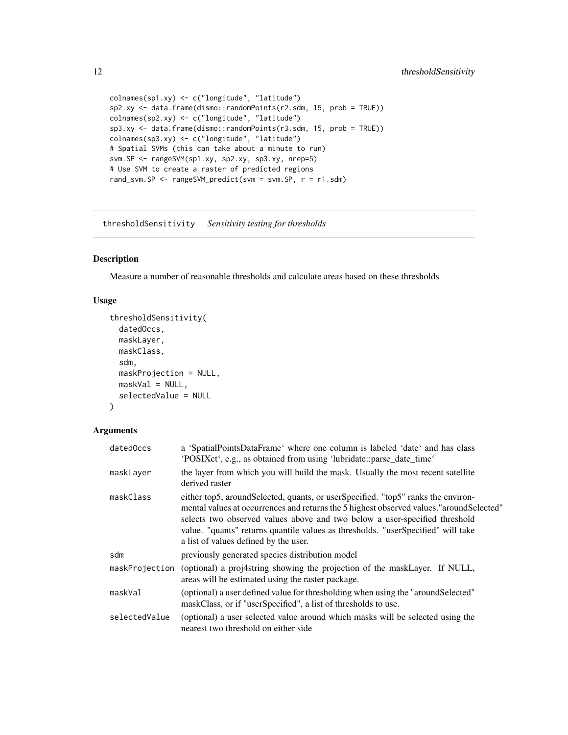```
colnames(sp1.xy) <- c("longitude", "latitude")
sp2.xy <- data.frame(dismo::randomPoints(r2.sdm, 15, prob = TRUE))
colnames(sp2.xy) <- c("longitude", "latitude")
sp3.xy <- data.frame(dismo::randomPoints(r3.sdm, 15, prob = TRUE))
colnames(sp3.xy) <- c("longitude", "latitude")
# Spatial SVMs (this can take about a minute to run)
svm.SP <- rangeSVM(sp1.xy, sp2.xy, sp3.xy, nrep=5)
# Use SVM to create a raster of predicted regions
rand_svm.SP <- rangeSVM_predict(svm = svm.SP, r = r1.sdm)
```
thresholdSensitivity *Sensitivity testing for thresholds*

#### Description

Measure a number of reasonable thresholds and calculate areas based on these thresholds

#### Usage

```
thresholdSensitivity(
 datedOccs,
 maskLayer,
 maskClass,
  sdm,
 maskProjection = NULL,
 maskVal = NULL,selectedValue = NULL
\lambda
```
#### Arguments

| datedOccs     | a 'SpatialPointsDataFrame' where one column is labeled 'date' and has class<br>'POSIXct', e.g., as obtained from using 'lubridate::parse_date_time'                                                                                                                                                                                                                                        |
|---------------|--------------------------------------------------------------------------------------------------------------------------------------------------------------------------------------------------------------------------------------------------------------------------------------------------------------------------------------------------------------------------------------------|
| maskLayer     | the layer from which you will build the mask. Usually the most recent satellite<br>derived raster                                                                                                                                                                                                                                                                                          |
| maskClass     | either top5, around Selected, quants, or user Specified. "top5" ranks the environ-<br>mental values at occurrences and returns the 5 highest observed values." around Selected"<br>selects two observed values above and two below a user-specified threshold<br>value. "quants" returns quantile values as thresholds. "userSpecified" will take<br>a list of values defined by the user. |
| sdm           | previously generated species distribution model                                                                                                                                                                                                                                                                                                                                            |
|               | maskProjection (optional) a proj4string showing the projection of the maskLayer. If NULL,<br>areas will be estimated using the raster package.                                                                                                                                                                                                                                             |
| maskVal       | (optional) a user defined value for thresholding when using the "aroundSelected"<br>maskClass, or if "userSpecified", a list of thresholds to use.                                                                                                                                                                                                                                         |
| selectedValue | (optional) a user selected value around which masks will be selected using the<br>nearest two threshold on either side                                                                                                                                                                                                                                                                     |

<span id="page-11-0"></span>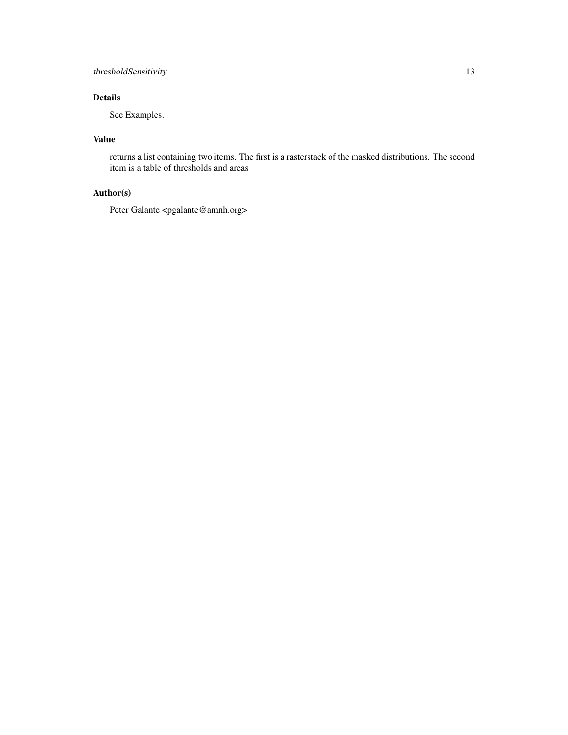#### thresholdSensitivity 13

#### Details

See Examples.

#### Value

returns a list containing two items. The first is a rasterstack of the masked distributions. The second item is a table of thresholds and areas

#### Author(s)

Peter Galante <pgalante@amnh.org>